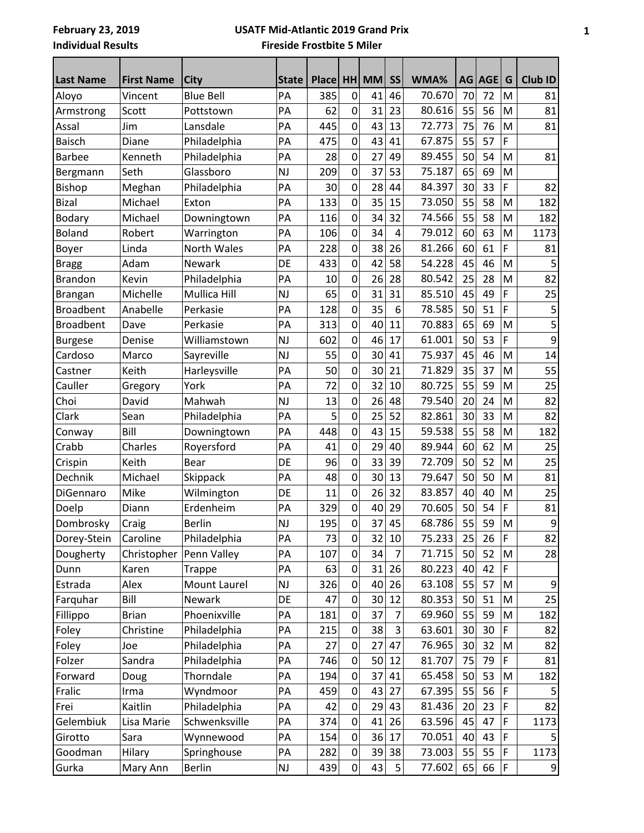**February 23, 2019 Individual Results**

## **USATF Mid-Atlantic 2019 Grand Prix Fireside Frostbite 5 Mile**

| ndividual Results |                   |                  | Fireside Frostbite 5 Miler |                 |                |     |           |        |            |            |                |                |  |  |
|-------------------|-------------------|------------------|----------------------------|-----------------|----------------|-----|-----------|--------|------------|------------|----------------|----------------|--|--|
| <b>Last Name</b>  | <b>First Name</b> | <b>City</b>      | <b>State</b>               | Place   HH   MM |                |     | <b>SS</b> | WMA%   |            | AG AGE     | G              | <b>Club ID</b> |  |  |
| Aloyo             | Vincent           | <b>Blue Bell</b> | PA                         | 385             | $\overline{0}$ | 41  | 46        | 70.670 | 70         | 72         | M              | 81             |  |  |
| Armstrong         | Scott             | Pottstown        | PA                         | 62              | $\mathbf 0$    | 31  | 23        | 80.616 | 55         | 56         | M              | 81             |  |  |
| Assal             | Jim               | Lansdale         | PA                         | 445             | $\overline{0}$ | 43  | 13        | 72.773 | 75         | 76         | M              | 81             |  |  |
| <b>Baisch</b>     | Diane             | Philadelphia     | PA                         | 475             | $\mathbf 0$    | 43  | 41        | 67.875 | 55         | 57         | F              |                |  |  |
| <b>Barbee</b>     | Kenneth           | Philadelphia     | PA                         | 28              | $\mathbf 0$    | 27  | 49        | 89.455 | 50         | 54         | M              | 81             |  |  |
| Bergmann          | Seth              | Glassboro        | <b>NJ</b>                  | 209             | $\overline{0}$ | 37  | 53        | 75.187 | 65         | 69         | M              |                |  |  |
| Bishop            | Meghan            | Philadelphia     | PA                         | 30              | $\mathbf 0$    | 28  | 44        | 84.397 | 30         | 33         | F              | 82             |  |  |
| <b>Bizal</b>      | Michael           | Exton            | PA                         | 133             | $\mathbf 0$    | 35  | 15        | 73.050 | 55         | 58         | M              | 182            |  |  |
| <b>Bodary</b>     | Michael           | Downingtown      | PA                         | 116             | $\mathbf 0$    | 34  | 32        | 74.566 | 55         | 58         | M              | 182            |  |  |
| <b>Boland</b>     | Robert            | Warrington       | PA                         | 106             | $\mathbf 0$    | 34  | 4         | 79.012 | 60         | 63         | M              | 1173           |  |  |
| Boyer             | Linda             | North Wales      | PA                         | 228             | $\overline{0}$ | 38  | 26        | 81.266 | 60         | 61         | F              | 81             |  |  |
| <b>Bragg</b>      | Adam              | <b>Newark</b>    | DE                         | 433             | $\overline{0}$ | 42  | 58        | 54.228 | 45         | 46         | M              | 5              |  |  |
| <b>Brandon</b>    | Kevin             | Philadelphia     | PA                         | 10              | $\mathbf 0$    | 26  | 28        | 80.542 | 25         | 28         | M              | 82             |  |  |
| <b>Brangan</b>    | Michelle          | Mullica Hill     | <b>NJ</b>                  | 65              | $\overline{0}$ | 31  | 31        | 85.510 | 45         | 49         | F              | 25             |  |  |
| <b>Broadbent</b>  | Anabelle          | Perkasie         | PA                         | 128             | $\mathbf 0$    | 35  | 6         | 78.585 | 50         | 51         | F              | 5              |  |  |
| <b>Broadbent</b>  | Dave              | Perkasie         | PA                         | 313             | $\mathbf 0$    | 40  | 11        | 70.883 | 65         | 69         | M              | 5              |  |  |
| <b>Burgese</b>    | Denise            | Williamstown     | <b>NJ</b>                  | 602             | $\overline{0}$ | 46  | 17        | 61.001 | 50         | 53         | F              | 9              |  |  |
| Cardoso           | Marco             | Sayreville       | <b>NJ</b>                  | 55              | $\mathbf 0$    | 30  | 41        | 75.937 | 45         | 46         | M              | 14             |  |  |
| Castner           | Keith             | Harleysville     | PA                         | 50              | $\mathbf 0$    | 30  | 21        | 71.829 | 35         | 37         | M              | 55             |  |  |
| Cauller           | Gregory           | York             | PA                         | 72              | $\mathbf 0$    | 32  | 10        | 80.725 | 55         | 59         | M              | 25             |  |  |
| Choi              | David             | Mahwah           | <b>NJ</b>                  | 13              | $\mathbf 0$    | 26  | 48        | 79.540 | 20         | 24         | M              | 82             |  |  |
| Clark             | Sean              | Philadelphia     | PA                         | 5               | $\overline{0}$ | 25  | 52        | 82.861 | 30         | 33         | M              | 82             |  |  |
| Conway            | Bill              | Downingtown      | PA                         | 448             | $\overline{0}$ | 43  | 15        | 59.538 | 55         | 58         | M              | 182            |  |  |
| Crabb             | Charles           | Royersford       | PA                         | 41              | $\mathbf 0$    | 29  | 40        | 89.944 | 60         | 62         | M              | 25             |  |  |
| Crispin           | Keith             | <b>Bear</b>      | DE                         | 96              | $\overline{0}$ | 33  | 39        | 72.709 | 50         | 52         | M              | 25             |  |  |
| Dechnik           | Michael           | Skippack         | PA                         | 48              | $\mathbf 0$    | 30  | 13        | 79.647 | 50         | 50         | M              | 81             |  |  |
| <b>DiConnara</b>  | $N$ dil $\sim$    | Mlinkation       | <b>DE</b>                  | 11              | $\bigcap$      | ን C | 22        | 00 057 | $\sqrt{2}$ | $\sqrt{2}$ | N <sub>A</sub> | οE             |  |  |

| Broadbent      | Dave         | Perkasie      | PА        | 313 | U              | 40 | 11             | 70.883 | 65 | ь9 | IVI | כ    |
|----------------|--------------|---------------|-----------|-----|----------------|----|----------------|--------|----|----|-----|------|
| <b>Burgese</b> | Denise       | Williamstown  | <b>NJ</b> | 602 | 0              | 46 | 17             | 61.001 | 50 | 53 | F   | 9    |
| Cardoso        | Marco        | Sayreville    | <b>NJ</b> | 55  | 0              | 30 | 41             | 75.937 | 45 | 46 | M   | 14   |
| Castner        | Keith        | Harleysville  | PA        | 50  | $\overline{0}$ | 30 | 21             | 71.829 | 35 | 37 | M   | 55   |
| Cauller        | Gregory      | York          | PA        | 72  | 0              | 32 | 10             | 80.725 | 55 | 59 | M   | 25   |
| Choi           | David        | Mahwah        | <b>NJ</b> | 13  | 0              | 26 | 48             | 79.540 | 20 | 24 | M   | 82   |
| Clark          | Sean         | Philadelphia  | PA        | 5   | 0              | 25 | 52             | 82.861 | 30 | 33 | M   | 82   |
| Conway         | Bill         | Downingtown   | PA        | 448 | 0              | 43 | 15             | 59.538 | 55 | 58 | M   | 182  |
| Crabb          | Charles      | Royersford    | PA        | 41  | 0              | 29 | 40             | 89.944 | 60 | 62 | M   | 25   |
| Crispin        | Keith        | Bear          | DE        | 96  | 0              | 33 | 39             | 72.709 | 50 | 52 | M   | 25   |
| Dechnik        | Michael      | Skippack      | PA        | 48  | 0              | 30 | 13             | 79.647 | 50 | 50 | M   | 81   |
| DiGennaro      | Mike         | Wilmington    | DE        | 11  | 0              | 26 | 32             | 83.857 | 40 | 40 | M   | 25   |
| Doelp          | Diann        | Erdenheim     | PA        | 329 | 0              | 40 | 29             | 70.605 | 50 | 54 | F   | 81   |
| Dombrosky      | Craig        | <b>Berlin</b> | <b>NJ</b> | 195 | 0              | 37 | 45             | 68.786 | 55 | 59 | M   | 9    |
| Dorey-Stein    | Caroline     | Philadelphia  | PA        | 73  | 0              | 32 | 10             | 75.233 | 25 | 26 | F   | 82   |
| Dougherty      | Christopher  | Penn Valley   | PA        | 107 | 0              | 34 | $\overline{7}$ | 71.715 | 50 | 52 | M   | 28   |
| Dunn           | Karen        | <b>Trappe</b> | PA        | 63  | $\mathbf 0$    | 31 | 26             | 80.223 | 40 | 42 | F   |      |
| Estrada        | Alex         | Mount Laurel  | <b>NJ</b> | 326 | 0              | 40 | 26             | 63.108 | 55 | 57 | M   | 9    |
| Farquhar       | Bill         | Newark        | DE        | 47  | 0              | 30 | 12             | 80.353 | 50 | 51 | M   | 25   |
| Fillippo       | <b>Brian</b> | Phoenixville  | PA        | 181 | $\overline{0}$ | 37 | $\overline{7}$ | 69.960 | 55 | 59 | M   | 182  |
| Foley          | Christine    | Philadelphia  | PA        | 215 | 0              | 38 | 3              | 63.601 | 30 | 30 | F   | 82   |
| Foley          | Joe          | Philadelphia  | PA        | 27  | $\mathbf 0$    | 27 | 47             | 76.965 | 30 | 32 | M   | 82   |
| Folzer         | Sandra       | Philadelphia  | PA        | 746 | 0              | 50 | 12             | 81.707 | 75 | 79 | F   | 81   |
| Forward        | Doug         | Thorndale     | PA        | 194 | 0              | 37 | 41             | 65.458 | 50 | 53 | M   | 182  |
| Fralic         | Irma         | Wyndmoor      | PA        | 459 | $\mathbf 0$    | 43 | 27             | 67.395 | 55 | 56 | F   | 5    |
| Frei           | Kaitlin      | Philadelphia  | PA        | 42  | $\mathbf 0$    | 29 | 43             | 81.436 | 20 | 23 | F   | 82   |
| Gelembiuk      | Lisa Marie   | Schwenksville | PA        | 374 | 0              | 41 | 26             | 63.596 | 45 | 47 | F   | 1173 |
| Girotto        | Sara         | Wynnewood     | PA        | 154 | 0              | 36 | 17             | 70.051 | 40 | 43 | F   | 5    |
| Goodman        | Hilary       | Springhouse   | PA        | 282 | $\mathbf 0$    | 39 | 38             | 73.003 | 55 | 55 | F   | 1173 |
| Gurka          | Mary Ann     | <b>Berlin</b> | <b>NJ</b> | 439 | $\overline{0}$ | 43 | 5              | 77.602 | 65 | 66 | ١F  | 9    |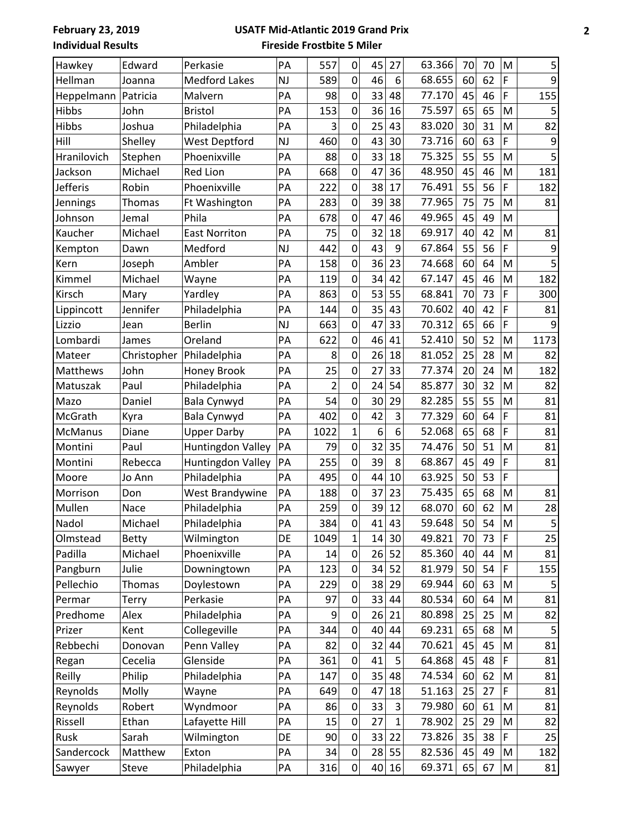**February 23, 2019 Individual Results**

## **USATF Mid-Atlantic 2019 Grand Prix Fireside Frostbite 5 Miler**

| Hawkey                | Edward       | Perkasie             | PA        | 557            | 0              | 45 | 27      | 63.366 | 70 | 70 | M  | 5              |
|-----------------------|--------------|----------------------|-----------|----------------|----------------|----|---------|--------|----|----|----|----------------|
| Hellman               | Joanna       | <b>Medford Lakes</b> | <b>NJ</b> | 589            | $\mathbf 0$    | 46 | 6       | 68.655 | 60 | 62 | F  | 9              |
| Heppelmann   Patricia |              | Malvern              | PA        | 98             | $\overline{0}$ | 33 | 48      | 77.170 | 45 | 46 | F  | 155            |
| Hibbs                 | John         | <b>Bristol</b>       | PA        | 153            | 0              | 36 | 16      | 75.597 | 65 | 65 | M  | 5              |
| Hibbs                 | Joshua       | Philadelphia         | PA        | 3              | $\mathbf 0$    | 25 | 43      | 83.020 | 30 | 31 | M  | 82             |
| Hill                  | Shelley      | <b>West Deptford</b> | <b>NJ</b> | 460            | 0              | 43 | 30      | 73.716 | 60 | 63 | F  | 9              |
| Hranilovich           | Stephen      | Phoenixville         | PA        | 88             | $\mathbf 0$    | 33 | 18      | 75.325 | 55 | 55 | M  | 5              |
| Jackson               | Michael      | <b>Red Lion</b>      | PA        | 668            | 0              | 47 | 36      | 48.950 | 45 | 46 | M  | 181            |
| <b>Jefferis</b>       | Robin        | Phoenixville         | PA        | 222            | $\mathbf 0$    | 38 | 17      | 76.491 | 55 | 56 | F  | 182            |
| Jennings              | Thomas       | Ft Washington        | PA        | 283            | $\mathbf 0$    | 39 | 38      | 77.965 | 75 | 75 | M  | 81             |
| Johnson               | Jemal        | Phila                | PA        | 678            | 0              | 47 | 46      | 49.965 | 45 | 49 | M  |                |
| Kaucher               | Michael      | <b>East Norriton</b> | PA        | 75             | $\mathbf 0$    | 32 | 18      | 69.917 | 40 | 42 | M  | 81             |
| Kempton               | Dawn         | Medford              | NJ        | 442            | $\overline{0}$ | 43 | 9       | 67.864 | 55 | 56 | F  | 9              |
| Kern                  | Joseph       | Ambler               | PA        | 158            | 0              | 36 | 23      | 74.668 | 60 | 64 | M  | 5              |
| Kimmel                | Michael      | Wayne                | PA        | 119            | $\mathbf 0$    | 34 | 42      | 67.147 | 45 | 46 | M  | 182            |
| Kirsch                | Mary         | Yardley              | PA        | 863            | 0              | 53 | 55      | 68.841 | 70 | 73 | F  | 300            |
| Lippincott            | Jennifer     | Philadelphia         | PA        | 144            | $\mathbf 0$    | 35 | 43      | 70.602 | 40 | 42 | ΙF | 81             |
| Lizzio                | Jean         | <b>Berlin</b>        | <b>NJ</b> | 663            | 0              | 47 | 33      | 70.312 | 65 | 66 | F  |                |
| Lombardi              | James        | Oreland              | PA        | 622            | 0              | 46 | 41      | 52.410 | 50 | 52 | M  | 1173           |
| Mateer                | Christopher  | Philadelphia         | PA        | 8              | 0              | 26 | 18      | 81.052 | 25 | 28 | M  | 82             |
| Matthews              | John         | Honey Brook          | PA        | 25             | $\mathbf 0$    | 27 | 33      | 77.374 | 20 | 24 | M  | 182            |
| Matuszak              | Paul         | Philadelphia         | PA        | $\overline{2}$ | $\mathbf 0$    | 24 | 54      | 85.877 | 30 | 32 | M  | 82             |
| Mazo                  | Daniel       | Bala Cynwyd          | PA        | 54             | 0              | 30 | 29      | 82.285 | 55 | 55 | M  | 81             |
| McGrath               | Kyra         | Bala Cynwyd          | PA        | 402            | 0              | 42 | 3       | 77.329 | 60 | 64 | F  | 81             |
| <b>McManus</b>        | Diane        | <b>Upper Darby</b>   | PA        | 1022           | $\mathbf 1$    | 6  | 6       | 52.068 | 65 | 68 | F  | 81             |
| Montini               | Paul         | Huntingdon Valley    | PA        | 79             | 0              | 32 | 35      | 74.476 | 50 | 51 | M  | 81             |
| Montini               | Rebecca      | Huntingdon Valley    | PA        | 255            | 0              | 39 | 8       | 68.867 | 45 | 49 | F  | 81             |
| Moore                 | Jo Ann       | Philadelphia         | PA        | 495            | $\mathbf 0$    | 44 | 10      | 63.925 | 50 | 53 | F  |                |
| Morrison              | Don          | West Brandywine      | PA        | 188            | 0              | 37 | 23      | 75.435 | 65 | 68 | M  | 81             |
| Mullen                | Nace         | Philadelphia         | PA        | 259            | 0              | 39 | 12      | 68.070 | 60 | 62 | M  | 28             |
| Nadol                 | Michael      | Philadelphia         | PA        | 384            | 0              |    | $41$ 43 | 59.648 | 50 | 54 | M  | $\overline{5}$ |
| Olmstead              | <b>Betty</b> | Wilmington           | DE        | 1049           | 1              | 14 | 30      | 49.821 | 70 | 73 | F  | 25             |
| Padilla               | Michael      | Phoenixville         | PA        | 14             | $\mathbf 0$    | 26 | 52      | 85.360 | 40 | 44 | M  | 81             |
| Pangburn              | Julie        | Downingtown          | PA        | 123            | $\mathbf 0$    | 34 | 52      | 81.979 | 50 | 54 | F  | 155            |
| Pellechio             | Thomas       | Doylestown           | PA        | 229            | 0              | 38 | 29      | 69.944 | 60 | 63 | M  | 5              |
| Permar                | Terry        | Perkasie             | PA        | 97             | 0              | 33 | 44      | 80.534 | 60 | 64 | M  | 81             |
| Predhome              | Alex         | Philadelphia         | PA        | 9              | 0              | 26 | 21      | 80.898 | 25 | 25 | M  | 82             |
| Prizer                | Kent         | Collegeville         | PA        | 344            | $\mathbf 0$    | 40 | 44      | 69.231 | 65 | 68 | M  | 5              |
| Rebbechi              | Donovan      | Penn Valley          | PA        | 82             | 0              | 32 | 44      | 70.621 | 45 | 45 | M  | 81             |
| Regan                 | Cecelia      | Glenside             | PA        | 361            | 0              | 41 | 5       | 64.868 | 45 | 48 | F  | 81             |
| Reilly                | Philip       | Philadelphia         | PA        | 147            | $\mathbf 0$    | 35 | 48      | 74.534 | 60 | 62 | M  | 81             |
| Reynolds              | Molly        | Wayne                | PA        | 649            | 0              | 47 | 18      | 51.163 | 25 | 27 | F  | 81             |
| Reynolds              | Robert       | Wyndmoor             | PA        | 86             | $\mathbf 0$    | 33 | 3       | 79.980 | 60 | 61 | M  | 81             |
| Rissell               | Ethan        | Lafayette Hill       | PA        | 15             | 0              | 27 | 1       | 78.902 | 25 | 29 | M  | 82             |
| Rusk                  | Sarah        | Wilmington           | DE        | 90             | 0              | 33 | 22      | 73.826 | 35 | 38 | F  | 25             |
| Sandercock            | Matthew      | Exton                | PA        | 34             | $\mathbf 0$    | 28 | 55      | 82.536 | 45 | 49 | M  | 182            |
| Sawyer                | Steve        | Philadelphia         | PA        | 316            | $\pmb{0}$      | 40 | 16      | 69.371 | 65 | 67 | M  | 81             |